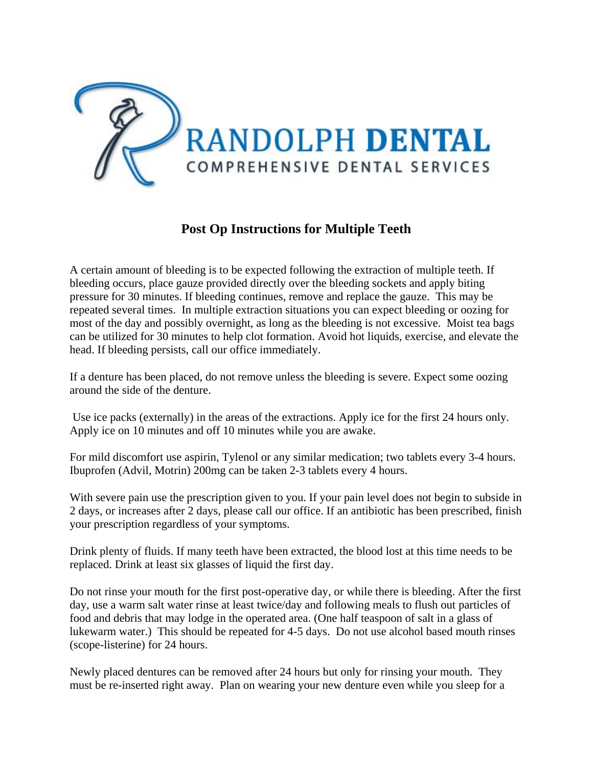

## **Post Op Instructions for Multiple Teeth**

A certain amount of bleeding is to be expected following the extraction of multiple teeth. If bleeding occurs, place gauze provided directly over the bleeding sockets and apply biting pressure for 30 minutes. If bleeding continues, remove and replace the gauze. This may be repeated several times. In multiple extraction situations you can expect bleeding or oozing for most of the day and possibly overnight, as long as the bleeding is not excessive. Moist tea bags can be utilized for 30 minutes to help clot formation. Avoid hot liquids, exercise, and elevate the head. If bleeding persists, call our office immediately.

If a denture has been placed, do not remove unless the bleeding is severe. Expect some oozing around the side of the denture.

Use ice packs (externally) in the areas of the extractions. Apply ice for the first 24 hours only. Apply ice on 10 minutes and off 10 minutes while you are awake.

For mild discomfort use aspirin, Tylenol or any similar medication; two tablets every 3-4 hours. Ibuprofen (Advil, Motrin) 200mg can be taken 2-3 tablets every 4 hours.

With severe pain use the prescription given to you. If your pain level does not begin to subside in 2 days, or increases after 2 days, please call our office. If an antibiotic has been prescribed, finish your prescription regardless of your symptoms.

Drink plenty of fluids. If many teeth have been extracted, the blood lost at this time needs to be replaced. Drink at least six glasses of liquid the first day.

Do not rinse your mouth for the first post-operative day, or while there is bleeding. After the first day, use a warm salt water rinse at least twice/day and following meals to flush out particles of food and debris that may lodge in the operated area. (One half teaspoon of salt in a glass of lukewarm water.) This should be repeated for 4-5 days. Do not use alcohol based mouth rinses (scope-listerine) for 24 hours.

Newly placed dentures can be removed after 24 hours but only for rinsing your mouth. They must be re-inserted right away. Plan on wearing your new denture even while you sleep for a